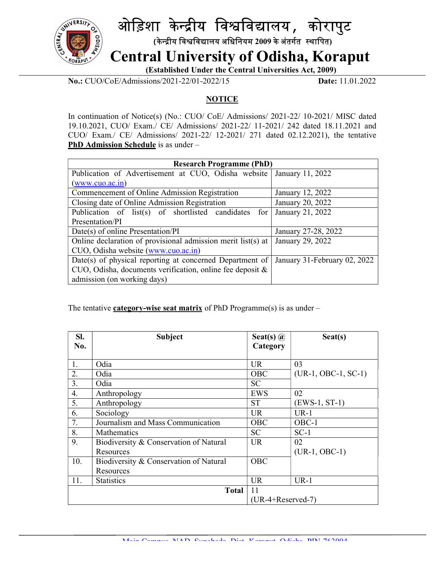

## ओड़िशा केन्द्रीय विश्वविद्यालय, कोरापुट

(केन्द्रीय विश्वविद्यालय अधिनियम 2009 के अंतर्गत स्थापित)

Central University of Odisha, Koraput

(Established Under the Central Universities Act, 2009)

No.: CUO/CoE/Admissions/2021-22/01-2022/15 Date: 11.01.2022

## **NOTICE**

In continuation of Notice(s) (No.: CUO/ CoE/ Admissions/ 2021-22/ 10-2021/ MISC dated 19.10.2021, CUO/ Exam./ CE/ Admissions/ 2021-22/ 11-2021/ 242 dated 18.11.2021 and CUO/ Exam./ CE/ Admissions/ 2021-22/ 12-2021/ 271 dated 02.12.2021), the tentative PhD Admission Schedule is as under –

| <b>Research Programme (PhD)</b>                                                       |                     |  |
|---------------------------------------------------------------------------------------|---------------------|--|
| Publication of Advertisement at CUO, Odisha website   January 11, 2022                |                     |  |
| (www.cuo.ac.in)                                                                       |                     |  |
| Commencement of Online Admission Registration                                         | January 12, 2022    |  |
| Closing date of Online Admission Registration                                         | January 20, 2022    |  |
| Publication of list(s) of shortlisted candidates for                                  | January 21, 2022    |  |
| Presentation/PI                                                                       |                     |  |
| Date(s) of online Presentation/PI                                                     | January 27-28, 2022 |  |
| Online declaration of provisional admission merit list(s) at                          | January 29, 2022    |  |
| CUO, Odisha website (www.cuo.ac.in)                                                   |                     |  |
| Date(s) of physical reporting at concerned Department of January 31-February 02, 2022 |                     |  |
| CUO, Odisha, documents verification, online fee deposit &                             |                     |  |
| admission (on working days)                                                           |                     |  |

The tentative category-wise seat matrix of PhD Programme(s) is as under  $-$ 

| SI.                | <b>Subject</b>                         | Seat(s) $\omega$    | Seat(s)               |
|--------------------|----------------------------------------|---------------------|-----------------------|
| No.                |                                        | Category            |                       |
| 1.                 | Odia                                   | <b>UR</b>           | 03                    |
| 2.                 | Odia                                   | OBC                 | $(UR-1, OBC-1, SC-1)$ |
| 3.                 | Odia                                   | <b>SC</b>           |                       |
| 4.                 | Anthropology                           | <b>EWS</b>          | 02                    |
| 5.                 | Anthropology                           | <b>ST</b>           | $(EWS-1, ST-1)$       |
| 6.                 | Sociology                              | <b>UR</b>           | $UR-1$                |
| 7.                 | Journalism and Mass Communication      | OBC                 | OBC-1                 |
| 8.                 | Mathematics                            | <b>SC</b>           | $SC-1$                |
| 9.                 | Biodiversity & Conservation of Natural | <b>UR</b>           | 02                    |
|                    | Resources                              |                     | $(UR-1, OBC-1)$       |
| 10.                | Biodiversity & Conservation of Natural | OBC                 |                       |
|                    | Resources                              |                     |                       |
| 11.                | <b>Statistics</b>                      | <b>UR</b>           | $UR-1$                |
| 11<br><b>Total</b> |                                        |                     |                       |
|                    |                                        | $(UR-4+Reserved-7)$ |                       |